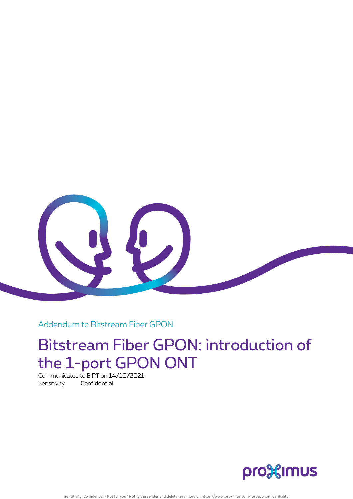

Addendum to Bitstream Fiber GPON

## Bitstream Fiber GPON: introduction of the 1-port GPON ONT

Communicated to BIPT on 14/10/2021 Sensitivity **Confidential** 



Sensitivity: Confidential - Not for you? Notify the sender and delete. See more on https://www.proximus.com/respect-confidentiality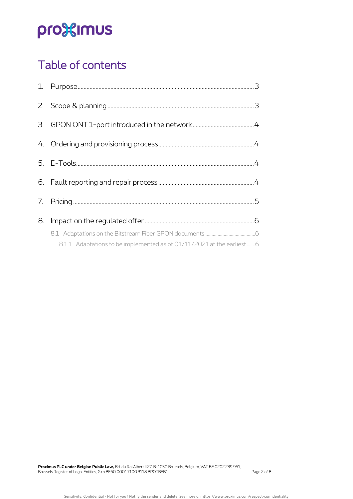# pro<sup>32</sup>imus

## Table of contents

| 8. |  |
|----|--|
|    |  |
|    |  |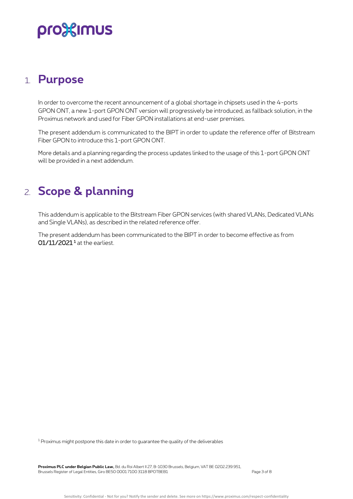## pro<sup>32</sup>imus

### <span id="page-2-0"></span>1. **Purpose**

In order to overcome the recent announcement of a global shortage in chipsets used in the 4-ports GPON ONT, a new 1-port GPON ONT version will progressively be introduced, as fallback solution, in the Proximus network and used for Fiber GPON installations at end-user premises.

The present addendum is communicated to the BIPT in order to update the reference offer of Bitstream Fiber GPON to introduce this 1-port GPON ONT.

<span id="page-2-1"></span>More details and a planning regarding the process updates linked to the usage of this 1-port GPON ONT will be provided in a next addendum.

### 2. **Scope & planning**

This addendum is applicable to the Bitstream Fiber GPON services (with shared VLANs, Dedicated VLANs and Single VLANs), as described in the related reference offer.

The present addendum has been communicated to the BIPT in order to become effective as from **01/11/2021 <sup>1</sup>** at the earliest.

<sup>1</sup> Proximus might postpone this date in order to guarantee the quality of the deliverables

**Proximus PLC under Belgian Public Law,** Bd. du Roi Albert II 27, B-1030 Brussels, Belgium, VAT BE 0202.239.951, Brussels Register of Legal Entities, Giro BE50 0001 7100 3118 BPOTBEB1 Page 3 of 8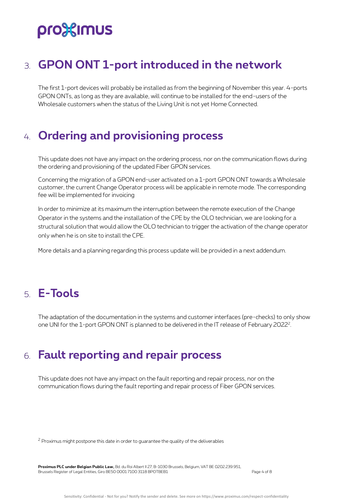# pro%imus

## <span id="page-3-0"></span>3. **GPON ONT 1-port introduced in the network**

The first 1-port devices will probably be installed as from the beginning of November this year. 4-ports GPON ONTs, as long as they are available, will continue to be installed for the end-users of the Wholesale customers when the status of the Living Unit is not yet Home Connected.

### <span id="page-3-1"></span>4. **Ordering and provisioning process**

This update does not have any impact on the ordering process, nor on the communication flows during the ordering and provisioning of the updated Fiber GPON services.

Concerning the migration of a GPON end-user activated on a 1-port GPON ONT towards a Wholesale customer, the current Change Operator process will be applicable in remote mode. The corresponding fee will be implemented for invoicing

In order to minimize at its maximum the interruption between the remote execution of the Change Operator in the systems and the installation of the CPE by the OLO technician, we are looking for a structural solution that would allow the OLO technician to trigger the activation of the change operator only when he is on site to install the CPE.

More details and a planning regarding this process update will be provided in a next addendum.

## <span id="page-3-2"></span>5. **E-Tools**

<span id="page-3-3"></span>The adaptation of the documentation in the systems and customer interfaces (pre-checks) to only show one UNI for the 1-port GPON ONT is planned to be delivered in the IT release of February 2022<sup>2</sup>.

### 6. **Fault reporting and repair process**

This update does not have any impact on the fault reporting and repair process, nor on the communication flows during the fault reporting and repair process of Fiber GPON services.

<sup>2</sup> Proximus might postpone this date in order to guarantee the quality of the deliverables

**Proximus PLC under Belgian Public Law,** Bd. du Roi Albert II 27, B-1030 Brussels, Belgium, VAT BE 0202.239.951, Brussels Register of Legal Entities, Giro BE50 0001 7100 3118 BPOTBEB1 Page 4 of 8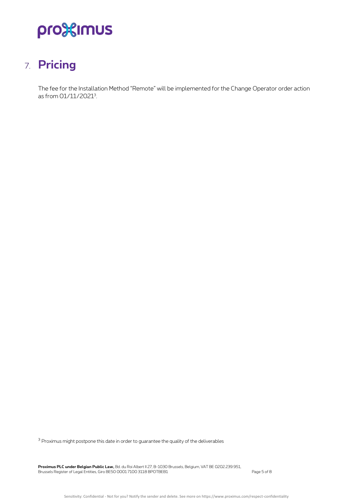# pro<sup>32</sup>imus

## <span id="page-4-0"></span>7. **Pricing**

The fee for the Installation Method "Remote" will be implemented for the Change Operator order action as from 01/11/2021<sup>3</sup>.

 $3$  Proximus might postpone this date in order to guarantee the quality of the deliverables

**Proximus PLC under Belgian Public Law,** Bd. du Roi Albert II 27, B-1030 Brussels, Belgium, VAT BE 0202.239.951, Brussels Register of Legal Entities, Giro BE50 0001 7100 3118 BPOTBEB1 Page 5 of 8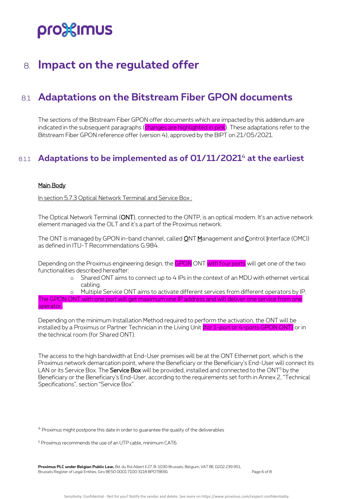## pro%imus

### <span id="page-5-0"></span>8. **Impact on the regulated offer**

### <span id="page-5-1"></span>8.1 **Adaptations on the Bitstream Fiber GPON documents**

The sections of the Bitstream Fiber GPON offer documents which are impacted by this addendum are indicated in the subsequent paragraphs (changes are highlighted in pink). These adaptations refer to the Bitstream Fiber GPON reference offer (version 4), approved by the BIPT on 21/05/2021.

#### <span id="page-5-2"></span>8.1.1 **Adaptations to be implemented as of 01/11/2021** <sup>4</sup> **at the earliest**

#### Main Body

In section 5.7.3 Optical Network Terminal and Service Box :

The Optical Network Terminal (ONT), connected to the ONTP, is an optical modem. It's an active network element managed via the OLT and it's a part of the Proximus network.

The ONT is managed by GPON in-band channel, called **ONT Management and Control Interface (OMCI)** as defined in ITU-T Recommendations G.984.

Depending on the Proximus engineering design, the GPON ONT with four ports will get one of the two functionalities described hereafter:

> o Shared ONT aims to connect up to 4 IPs in the context of an MDU with ethernet vertical cabling.

Multiple Service ONT aims to activate different services from different operators by IP.

The GPON ONT with one port will get maximum one IP address and will deliver one service from one operator.

Depending on the minimum Installation Method required to perform the activation, the ONT will be installed by a Proximus or Partner Technician in the Living Unit (for 1-port or 4-ports GPON ONT) or in the technical room (for Shared ONT).

The access to the high bandwidth at End-User premises will be at the ONT Ethernet port, which is the Proximus network demarcation point, where the Beneficiary or the Beneficiary's End-User will connect its LAN or its Service Box. The Service Box will be provided, installed and connected to the ONT<sup>5</sup> by the Beneficiary or the Beneficiary's End-User, according to the requirements set forth in Annex 2, "Technical Specifications", section "Service Box".

<sup>4</sup> Proximus might postpone this date in order to guarantee the quality of the deliverables

**Proximus PLC under Belgian Public Law,** Bd. du Roi Albert II 27, B-1030 Brussels, Belgium, VAT BE 0202.239.951, Brussels Register of Legal Entities, Giro BE50 0001 7100 3118 BPOTBEB1 Page 6 of 8

<sup>5</sup> Proximus recommends the use of an UTP cable, minimum CAT6.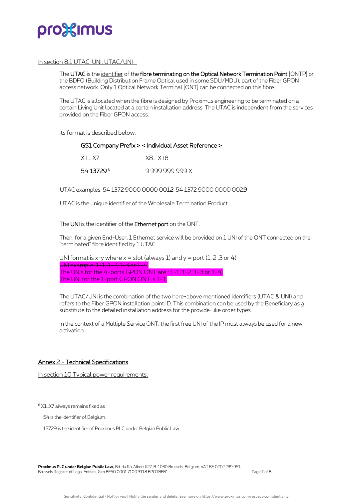

#### In section 8.1 UTAC, UNI, UTAC/UNI :

The UTAC is the identifier of the fibre terminating on the Optical Network Termination Point [ONTP] or the BDFO (Building Distribution Frame Optical used in some SDU/MDU), part of the Fiber GPON access network. Only 1 Optical Network Terminal [ONT] can be connected on this fibre.

The UTAC is allocated when the fibre is designed by Proximus engineering to be terminated on a certain Living Unit located at a certain installation address. The UTAC is independent from the services provided on the Fiber GPON access.

Its format is described below:

#### GS1 Company Prefix > < Individual Asset Reference >

| X1X7       | X8 X18          |
|------------|-----------------|
| 54 13729 6 | 9 999 999 999 X |

UTAC examples: 54 1372 9000 0000 001*2*, 54 1372 9000 0000 002*9* 

UTAC is the unique identifier of the Wholesale Termination Product.

#### The UNI is the identifier of the Ethernet port on the ONT.

Then, for a given End-User, 1 Ethernet service will be provided on 1 UNI of the ONT connected on the "terminated" fibre identified by 1 UTAC.

UNI format is x-y where  $x =$  slot (always 1) and  $y =$  port (1, 2, 3 or 4) UNI example: 1-1, 1-2, 1-3 or 1-4. The UNIs for the 4-ports GPON ONT are : 1-1, 1-2, 1-3 or 1-4. The UNI for the 1-port GPON ONT is 1-1.

The UTAC/UNI is the combination of the two here-above mentioned identifiers (UTAC & UNI) and refers to the Fiber GPON installation point ID. This combination can be used by the Beneficiary as a substitute to the detailed installation address for the provide-like order types.

In the context of a Multiple Service ONT, the first free UNI of the IP must always be used for a new activation.

#### Annex 2 - Technical Specifications

In section 10 Typical power requirements:

<sup>6</sup> X1…X7 always remains fixed as

54 is the identifier of Belgium.

13729 is the identifier of Proximus PLC under Belgian Public Law.

**Proximus PLC under Belgian Public Law,** Bd. du Roi Albert II 27, B-1030 Brussels, Belgium, VAT BE 0202.239.951, Brussels Register of Legal Entities, Giro BE50 0001 7100 3118 BPOTBEB1 Page 7 of 8